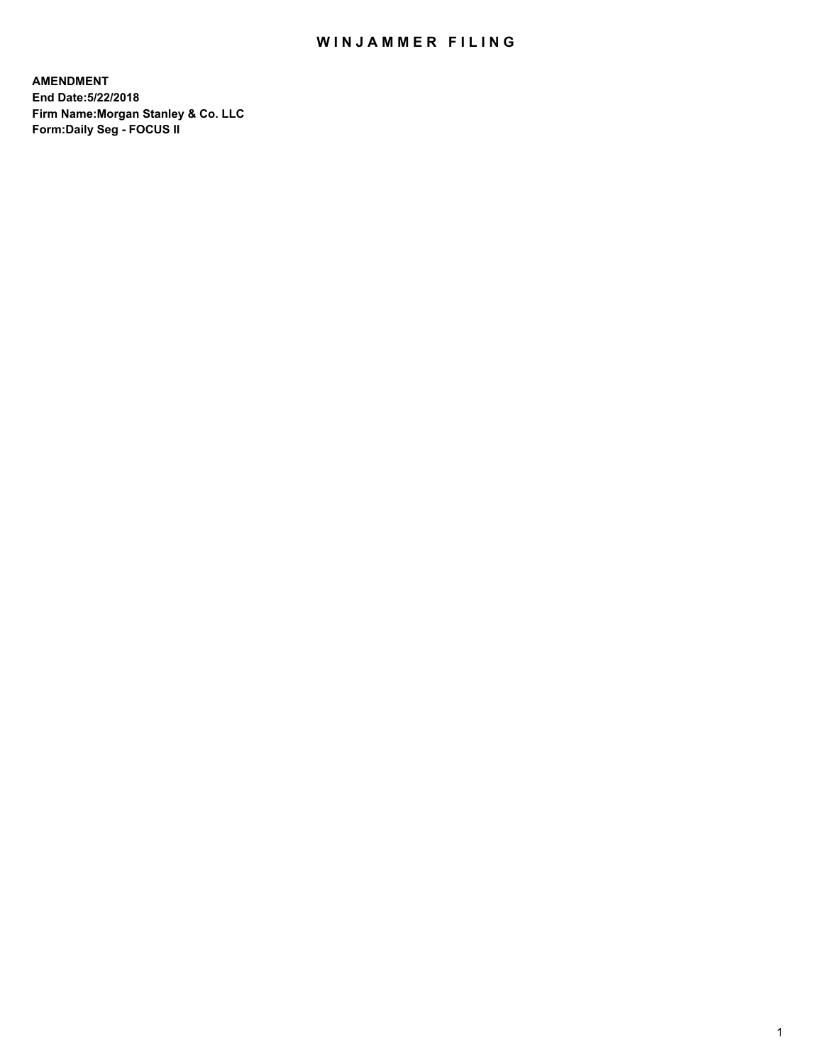# WIN JAMMER FILING

**AMENDMENT End Date:5/22/2018 Firm Name:Morgan Stanley & Co. LLC Form:Daily Seg - FOCUS II**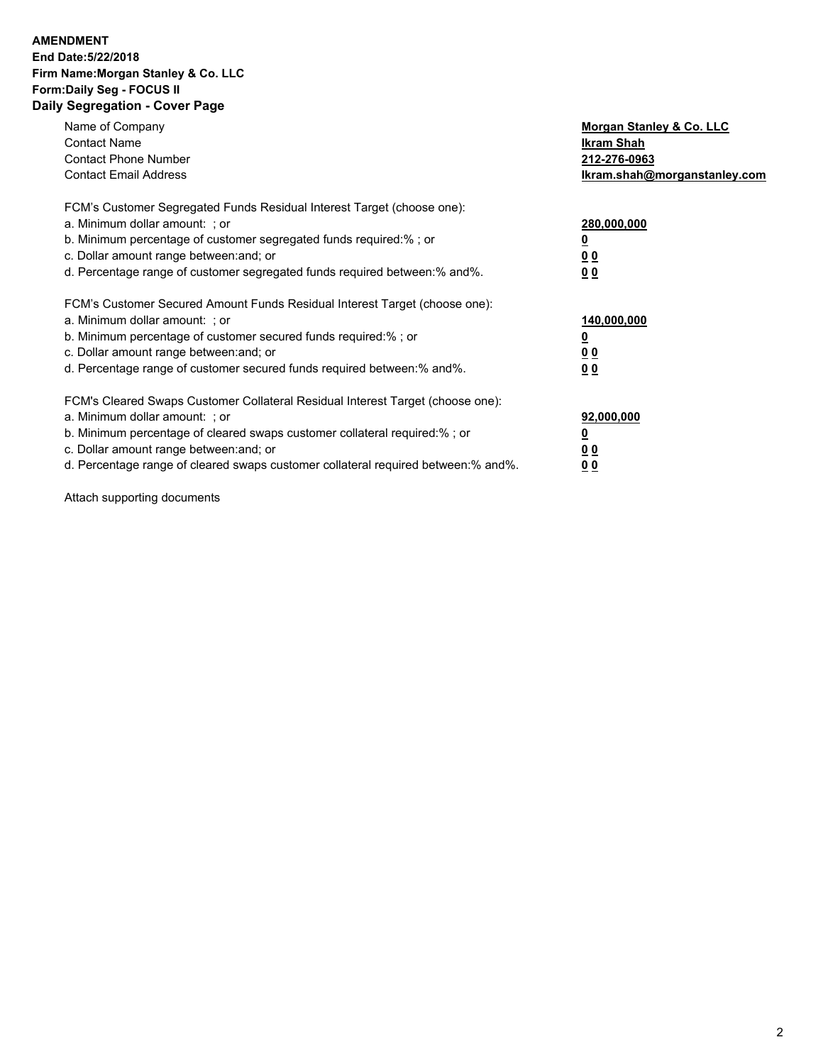### **AMENDMENT End Date:5/22/2018 Firm Name:Morgan Stanley & Co. LLC Form:Daily Seg - FOCUS II Daily Segregation - Cover Page**

| Name of Company                                                                   | Morgan Stanley & Co. LLC     |
|-----------------------------------------------------------------------------------|------------------------------|
| <b>Contact Name</b>                                                               | Ikram Shah                   |
| <b>Contact Phone Number</b>                                                       | 212-276-0963                 |
| <b>Contact Email Address</b>                                                      | lkram.shah@morganstanley.com |
| FCM's Customer Segregated Funds Residual Interest Target (choose one):            |                              |
| a. Minimum dollar amount: ; or                                                    | 280,000,000                  |
| b. Minimum percentage of customer segregated funds required:%; or                 |                              |
| c. Dollar amount range between: and; or                                           | 00                           |
| d. Percentage range of customer segregated funds required between:% and%.         | 0 <sub>0</sub>               |
| FCM's Customer Secured Amount Funds Residual Interest Target (choose one):        |                              |
| a. Minimum dollar amount: ; or                                                    | 140,000,000                  |
| b. Minimum percentage of customer secured funds required:%; or                    | o                            |
| c. Dollar amount range between: and; or                                           | 0 <sub>0</sub>               |
| d. Percentage range of customer secured funds required between:% and%.            | 0 <sub>0</sub>               |
| FCM's Cleared Swaps Customer Collateral Residual Interest Target (choose one):    |                              |
| a. Minimum dollar amount: ; or                                                    | 92,000,000                   |
| b. Minimum percentage of cleared swaps customer collateral required:% ; or        |                              |
| c. Dollar amount range between: and; or                                           | <u>00</u>                    |
| d. Percentage range of cleared swaps customer collateral required between:% and%. | 00                           |

Attach supporting documents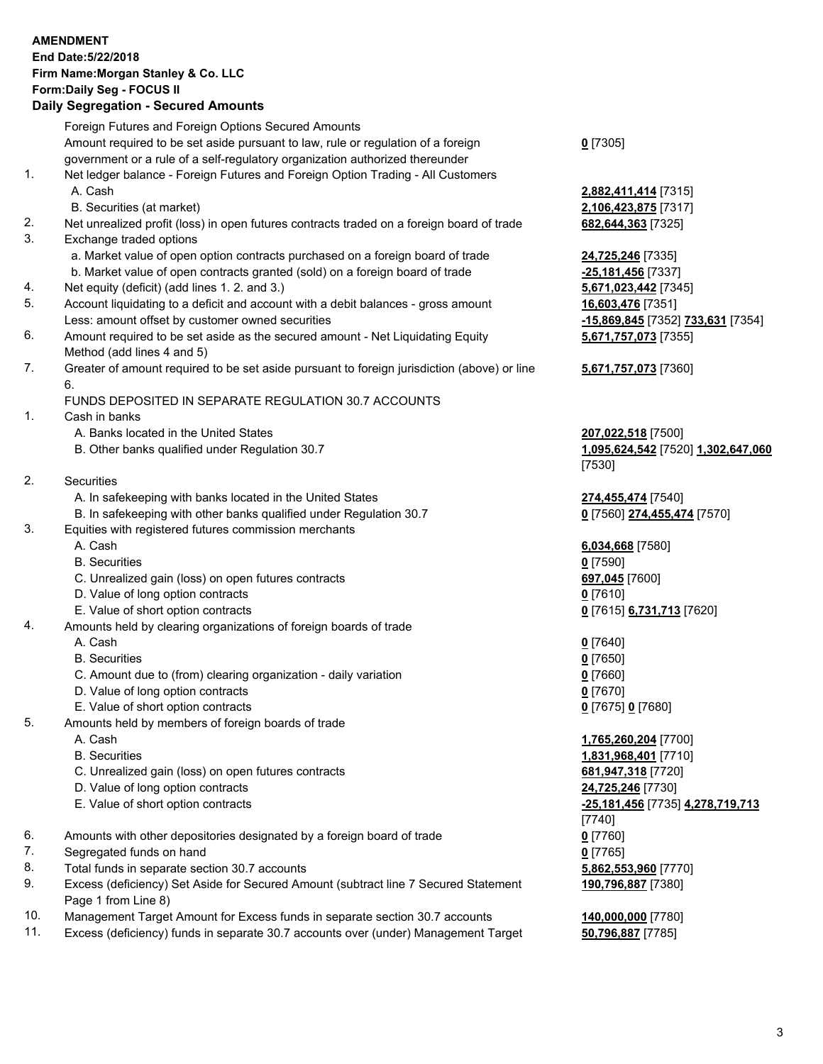# **AMENDMENT End Date:5/22/2018 Firm Name:Morgan Stanley & Co. LLC Form:Daily Seg - FOCUS II**

#### **Daily Segregation - Secured Amounts**

Foreign Futures and Foreign Options Secured Amounts Amount required to be set aside pursuant to law, rule or regulation of a foreign government or a rule of a self-regulatory organization authorized thereunder **0** [7305] 1. Net ledger balance - Foreign Futures and Foreign Option Trading - All Customers A. Cash **2,882,411,414** [7315] B. Securities (at market) **2,106,423,875** [7317] 2. Net unrealized profit (loss) in open futures contracts traded on a foreign board of trade **682,644,363** [7325] 3. Exchange traded options a. Market value of open option contracts purchased on a foreign board of trade **24,725,246** [7335] b. Market value of open contracts granted (sold) on a foreign board of trade **-25,181,456** [7337] 4. Net equity (deficit) (add lines 1. 2. and 3.) **5,671,023,442** [7345] 5. Account liquidating to a deficit and account with a debit balances - gross amount **16,603,476** [7351] Less: amount offset by customer owned securities **-15,869,845** [7352] **733,631** [7354] 6. Amount required to be set aside as the secured amount - Net Liquidating Equity Method (add lines 4 and 5) 7. Greater of amount required to be set aside pursuant to foreign jurisdiction (above) or line 6. FUNDS DEPOSITED IN SEPARATE REGULATION 30.7 ACCOUNTS 1. Cash in banks A. Banks located in the United States **207,022,518** [7500] B. Other banks qualified under Regulation 30.7 **1,095,624,542** [7520] **1,302,647,060** [7530] 2. Securities A. In safekeeping with banks located in the United States **274,455,474** [7540] B. In safekeeping with other banks qualified under Regulation 30.7 **0** [7560] **274,455,474** [7570] 3. Equities with registered futures commission merchants A. Cash **6,034,668** [7580] B. Securities **0** [7590] C. Unrealized gain (loss) on open futures contracts **697,045** [7600] D. Value of long option contracts **0** [7610] E. Value of short option contracts **0** [7615] **6,731,713** [7620] 4. Amounts held by clearing organizations of foreign boards of trade A. Cash **0** [7640] B. Securities **0** [7650] C. Amount due to (from) clearing organization - daily variation **0** [7660] D. Value of long option contracts **0** [7670] E. Value of short option contracts **0** [7675] **0** [7680] 5. Amounts held by members of foreign boards of trade A. Cash **1,765,260,204** [7700] B. Securities **1,831,968,401** [7710] C. Unrealized gain (loss) on open futures contracts **681,947,318** [7720] D. Value of long option contracts **24,725,246** [7730] E. Value of short option contracts **-25,181,456** [7735] **4,278,719,713** [7740] 6. Amounts with other depositories designated by a foreign board of trade **0** [7760] 7. Segregated funds on hand **0** [7765] 8. Total funds in separate section 30.7 accounts **5,862,553,960** [7770] 9. Excess (deficiency) Set Aside for Secured Amount (subtract line 7 Secured Statement Page 1 from Line 8) **190,796,887** [7380]

- 10. Management Target Amount for Excess funds in separate section 30.7 accounts **140,000,000** [7780]
- 11. Excess (deficiency) funds in separate 30.7 accounts over (under) Management Target **50,796,887** [7785]

**5,671,757,073** [7355]

**5,671,757,073** [7360]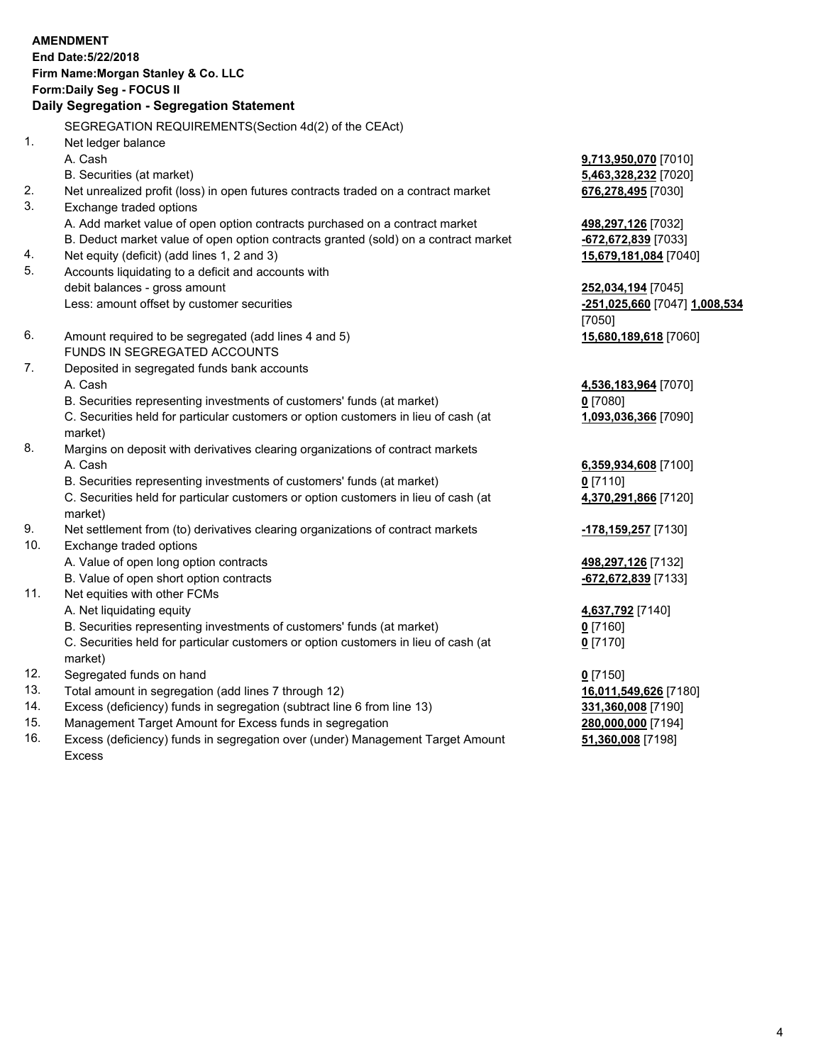# **AMENDMENT End Date:5/22/2018 Firm Name:Morgan Stanley & Co. LLC Form:Daily Seg - FOCUS II**

### **Daily Segregation - Segregation Statement**

SEGREGATION REQUIREMENTS(Section 4d(2) of the CEAct) 1. Net ledger balance A. Cash **9,713,950,070** [7010] B. Securities (at market) **5,463,328,232** [7020] 2. Net unrealized profit (loss) in open futures contracts traded on a contract market **676,278,495** [7030] 3. Exchange traded options A. Add market value of open option contracts purchased on a contract market **498,297,126** [7032] B. Deduct market value of open option contracts granted (sold) on a contract market **-672,672,839** [7033] 4. Net equity (deficit) (add lines 1, 2 and 3) **15,679,181,084** [7040] 5. Accounts liquidating to a deficit and accounts with debit balances - gross amount **252,034,194** [7045] Less: amount offset by customer securities **-251,025,660** [7047] **1,008,534** [7050] 6. Amount required to be segregated (add lines 4 and 5) **15,680,189,618** [7060] FUNDS IN SEGREGATED ACCOUNTS 7. Deposited in segregated funds bank accounts A. Cash **4,536,183,964** [7070] B. Securities representing investments of customers' funds (at market) **0** [7080] C. Securities held for particular customers or option customers in lieu of cash (at market) **1,093,036,366** [7090] 8. Margins on deposit with derivatives clearing organizations of contract markets A. Cash **6,359,934,608** [7100] B. Securities representing investments of customers' funds (at market) **0** [7110] C. Securities held for particular customers or option customers in lieu of cash (at market) **4,370,291,866** [7120] 9. Net settlement from (to) derivatives clearing organizations of contract markets **-178,159,257** [7130] 10. Exchange traded options A. Value of open long option contracts **498,297,126** [7132] B. Value of open short option contracts **-672,672,839** [7133] 11. Net equities with other FCMs A. Net liquidating equity **4,637,792** [7140] B. Securities representing investments of customers' funds (at market) **0** [7160] C. Securities held for particular customers or option customers in lieu of cash (at market) **0** [7170] 12. Segregated funds on hand **0** [7150] 13. Total amount in segregation (add lines 7 through 12) **16,011,549,626** [7180] 14. Excess (deficiency) funds in segregation (subtract line 6 from line 13) **331,360,008** [7190] 15. Management Target Amount for Excess funds in segregation **280,000,000** [7194] 16. Excess (deficiency) funds in segregation over (under) Management Target Amount Excess **51,360,008** [7198]